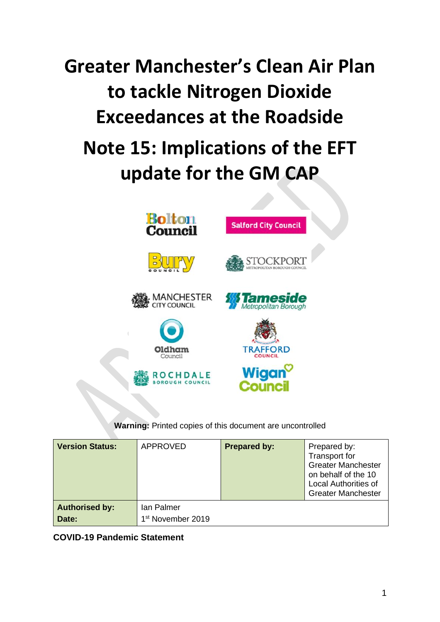# **Greater Manchester's Clean Air Plan to tackle Nitrogen Dioxide Exceedances at the Roadside Note 15: Implications of the EFT update for the GM CAP**



## **Warning:** Printed copies of this document are uncontrolled

| <b>Version Status:</b> | <b>APPROVED</b>               | <b>Prepared by:</b> | Prepared by:<br><b>Transport for</b><br><b>Greater Manchester</b><br>on behalf of the 10<br><b>Local Authorities of</b><br><b>Greater Manchester</b> |
|------------------------|-------------------------------|---------------------|------------------------------------------------------------------------------------------------------------------------------------------------------|
| <b>Authorised by:</b>  | Ian Palmer                    |                     |                                                                                                                                                      |
| Date:                  | 1 <sup>st</sup> November 2019 |                     |                                                                                                                                                      |

**COVID-19 Pandemic Statement**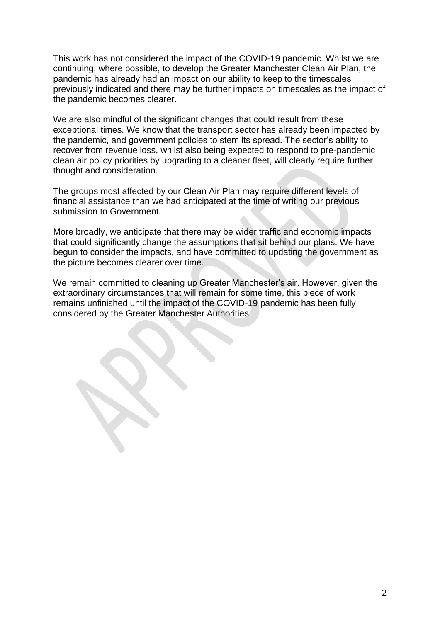This work has not considered the impact of the COVID-19 pandemic. Whilst we are continuing, where possible, to develop the Greater Manchester Clean Air Plan, the pandemic has already had an impact on our ability to keep to the timescales previously indicated and there may be further impacts on timescales as the impact of the pandemic becomes clearer.

We are also mindful of the significant changes that could result from these exceptional times. We know that the transport sector has already been impacted by the pandemic, and government policies to stem its spread. The sector's ability to recover from revenue loss, whilst also being expected to respond to pre-pandemic clean air policy priorities by upgrading to a cleaner fleet, will clearly require further thought and consideration.

The groups most affected by our Clean Air Plan may require different levels of financial assistance than we had anticipated at the time of writing our previous submission to Government.

More broadly, we anticipate that there may be wider traffic and economic impacts that could significantly change the assumptions that sit behind our plans. We have begun to consider the impacts, and have committed to updating the government as the picture becomes clearer over time.

We remain committed to cleaning up Greater Manchester's air. However, given the extraordinary circumstances that will remain for some time, this piece of work remains unfinished until the impact of the COVID-19 pandemic has been fully considered by the Greater Manchester Authorities.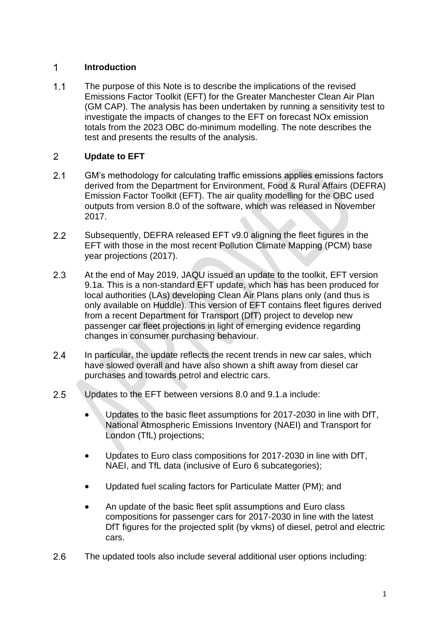#### $\mathbf 1$ **Introduction**

 $1.1$ The purpose of this Note is to describe the implications of the revised Emissions Factor Toolkit (EFT) for the Greater Manchester Clean Air Plan (GM CAP). The analysis has been undertaken by running a sensitivity test to investigate the impacts of changes to the EFT on forecast NOx emission totals from the 2023 OBC do-minimum modelling. The note describes the test and presents the results of the analysis.

#### $2<sup>1</sup>$ **Update to EFT**

- $2.1$ GM's methodology for calculating traffic emissions applies emissions factors derived from the Department for Environment, Food & Rural Affairs (DEFRA) Emission Factor Toolkit (EFT). The air quality modelling for the OBC used outputs from version 8.0 of the software, which was released in November 2017.
- $2.2$ Subsequently, DEFRA released EFT v9.0 aligning the fleet figures in the EFT with those in the most recent Pollution Climate Mapping (PCM) base year projections (2017).
- $2.3$ At the end of May 2019, JAQU issued an update to the toolkit, EFT version 9.1a. This is a non-standard EFT update, which has has been produced for local authorities (LAs) developing Clean Air Plans plans only (and thus is only available on Huddle). This version of EFT contains fleet figures derived from a recent Department for Transport (DfT) project to develop new passenger car fleet projections in light of emerging evidence regarding changes in consumer purchasing behaviour.
- $2.4$ In particular, the update reflects the recent trends in new car sales, which have slowed overall and have also shown a shift away from diesel car purchases and towards petrol and electric cars.
- $2.5$ Updates to the EFT between versions 8.0 and 9.1.a include:
	- Updates to the basic fleet assumptions for 2017-2030 in line with DfT, National Atmospheric Emissions Inventory (NAEI) and Transport for London (TfL) projections:
	- Updates to Euro class compositions for 2017-2030 in line with DfT, NAEI, and TfL data (inclusive of Euro 6 subcategories);
	- Updated fuel scaling factors for Particulate Matter (PM); and
	- An update of the basic fleet split assumptions and Euro class compositions for passenger cars for 2017-2030 in line with the latest DfT figures for the projected split (by vkms) of diesel, petrol and electric cars.
- $2.6$ The updated tools also include several additional user options including: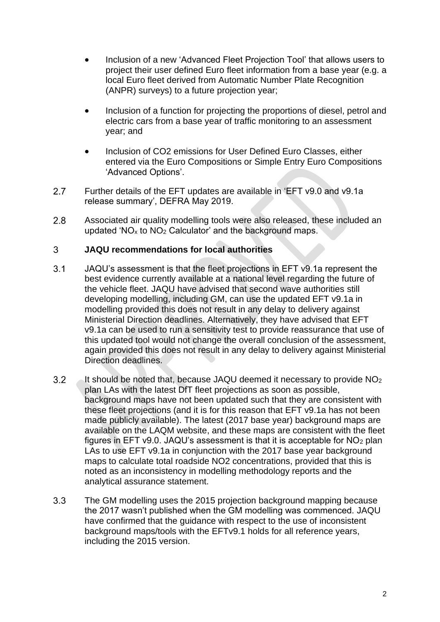- Inclusion of a new 'Advanced Fleet Projection Tool' that allows users to project their user defined Euro fleet information from a base year (e.g. a local Euro fleet derived from Automatic Number Plate Recognition (ANPR) surveys) to a future projection year;
- Inclusion of a function for projecting the proportions of diesel, petrol and electric cars from a base year of traffic monitoring to an assessment year; and
- Inclusion of CO2 emissions for User Defined Euro Classes, either entered via the Euro Compositions or Simple Entry Euro Compositions 'Advanced Options'.
- $2.7$ Further details of the EFT updates are available in 'EFT v9.0 and v9.1a release summary', DEFRA May 2019.
- $2.8$ Associated air quality modelling tools were also released, these included an updated 'NO<sub>x</sub> to NO<sub>2</sub> Calculator' and the background maps.

#### 3 **JAQU recommendations for local authorities**

- $3.1$ JAQU's assessment is that the fleet projections in EFT v9.1a represent the best evidence currently available at a national level regarding the future of the vehicle fleet. JAQU have advised that second wave authorities still developing modelling, including GM, can use the updated EFT v9.1a in modelling provided this does not result in any delay to delivery against Ministerial Direction deadlines. Alternatively, they have advised that EFT v9.1a can be used to run a sensitivity test to provide reassurance that use of this updated tool would not change the overall conclusion of the assessment, again provided this does not result in any delay to delivery against Ministerial Direction deadlines.
- $3.2$ It should be noted that, because JAQU deemed it necessary to provide NO<sup>2</sup> plan LAs with the latest DfT fleet projections as soon as possible, background maps have not been updated such that they are consistent with these fleet projections (and it is for this reason that EFT v9.1a has not been made publicly available). The latest (2017 base year) background maps are available on the LAQM website, and these maps are consistent with the fleet figures in EFT v9.0. JAQU's assessment is that it is acceptable for NO<sup>2</sup> plan LAs to use EFT v9.1a in conjunction with the 2017 base year background maps to calculate total roadside NO2 concentrations, provided that this is noted as an inconsistency in modelling methodology reports and the analytical assurance statement.
- $3.3$ The GM modelling uses the 2015 projection background mapping because the 2017 wasn't published when the GM modelling was commenced. JAQU have confirmed that the guidance with respect to the use of inconsistent background maps/tools with the EFTv9.1 holds for all reference years, including the 2015 version.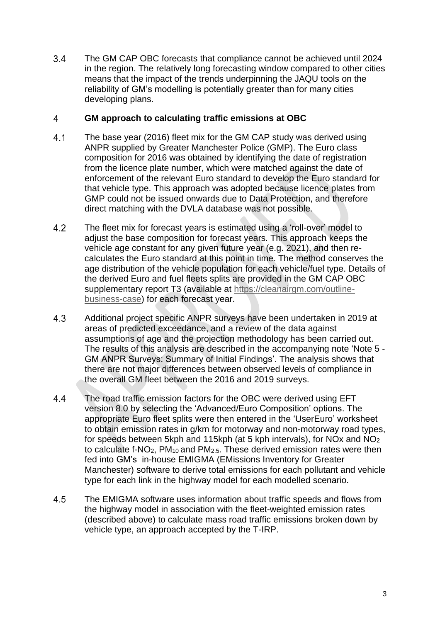$3.4$ The GM CAP OBC forecasts that compliance cannot be achieved until 2024 in the region. The relatively long forecasting window compared to other cities means that the impact of the trends underpinning the JAQU tools on the reliability of GM's modelling is potentially greater than for many cities developing plans.

#### $\overline{4}$ **GM approach to calculating traffic emissions at OBC**

- $4.1$ The base year (2016) fleet mix for the GM CAP study was derived using ANPR supplied by Greater Manchester Police (GMP). The Euro class composition for 2016 was obtained by identifying the date of registration from the licence plate number, which were matched against the date of enforcement of the relevant Euro standard to develop the Euro standard for that vehicle type. This approach was adopted because licence plates from GMP could not be issued onwards due to Data Protection, and therefore direct matching with the DVLA database was not possible.
- 4.2 The fleet mix for forecast years is estimated using a 'roll-over' model to adjust the base composition for forecast years. This approach keeps the vehicle age constant for any given future year (e.g. 2021), and then recalculates the Euro standard at this point in time. The method conserves the age distribution of the vehicle population for each vehicle/fuel type. Details of the derived Euro and fuel fleets splits are provided in the GM CAP OBC supplementary report T3 (available at [https://cleanairgm.com/outline](https://cleanairgm.com/outline-business-case)[business-case\)](https://cleanairgm.com/outline-business-case) for each forecast year.
- 4.3 Additional project specific ANPR surveys have been undertaken in 2019 at areas of predicted exceedance, and a review of the data against assumptions of age and the projection methodology has been carried out. The results of this analysis are described in the accompanying note 'Note 5 - GM ANPR Surveys: Summary of Initial Findings'. The analysis shows that there are not major differences between observed levels of compliance in the overall GM fleet between the 2016 and 2019 surveys.
- $4.4$ The road traffic emission factors for the OBC were derived using EFT version 8.0 by selecting the 'Advanced/Euro Composition' options. The appropriate Euro fleet splits were then entered in the 'UserEuro' worksheet to obtain emission rates in g/km for motorway and non-motorway road types, for speeds between 5kph and 115kph (at 5 kph intervals), for NOx and NO<sup>2</sup> to calculate f-NO2, PM<sup>10</sup> and PM2.5. These derived emission rates were then fed into GM's in-house EMIGMA (EMissions Inventory for Greater Manchester) software to derive total emissions for each pollutant and vehicle type for each link in the highway model for each modelled scenario.
- 4.5 The EMIGMA software uses information about traffic speeds and flows from the highway model in association with the fleet-weighted emission rates (described above) to calculate mass road traffic emissions broken down by vehicle type, an approach accepted by the T-IRP.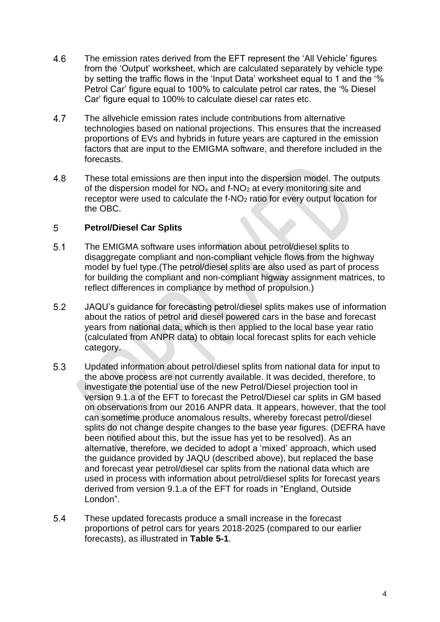- 4.6 The emission rates derived from the EFT represent the 'All Vehicle' figures from the 'Output' worksheet, which are calculated separately by vehicle type by setting the traffic flows in the 'Input Data' worksheet equal to 1 and the '% Petrol Car' figure equal to 100% to calculate petrol car rates, the '% Diesel Car' figure equal to 100% to calculate diesel car rates etc.
- $4.7$ The allvehicle emission rates include contributions from alternative technologies based on national projections. This ensures that the increased proportions of EVs and hybrids in future years are captured in the emission factors that are input to the EMIGMA software, and therefore included in the forecasts.
- 4.8 These total emissions are then input into the dispersion model. The outputs of the dispersion model for  $NO<sub>x</sub>$  and f-NO<sub>2</sub> at every monitoring site and receptor were used to calculate the f-NO<sup>2</sup> ratio for every output location for the OBC.

#### 5 **Petrol/Diesel Car Splits**

- $5.1$ The EMIGMA software uses information about petrol/diesel splits to disaggregate compliant and non-compliant vehicle flows from the highway model by fuel type.(The petrol/diesel splits are also used as part of process for building the compliant and non-compliant higway assignment matrices, to reflect differences in compliance by method of propulsion.)
- $5.2$ JAQU's guidance for forecasting petrol/diesel splits makes use of information about the ratios of petrol and diesel powered cars in the base and forecast years from national data, which is then applied to the local base year ratio (calculated from ANPR data) to obtain local forecast splits for each vehicle category.
- 5.3 Updated information about petrol/diesel splits from national data for input to the above process are not currently available. It was decided, therefore, to investigate the potential use of the new Petrol/Diesel projection tool in version 9.1.a of the EFT to forecast the Petrol/Diesel car splits in GM based on observations from our 2016 ANPR data. It appears, however, that the tool can sometime produce anomalous results, whereby forecast petrol/diesel splits do not change despite changes to the base year figures. (DEFRA have been notified about this, but the issue has yet to be resolved). As an alternative, therefore, we decided to adopt a 'mixed' approach, which used the guidance provided by JAQU (described above), but replaced the base and forecast year petrol/diesel car splits from the national data which are used in process with information about petrol/diesel splits for forecast years derived from version 9.1.a of the EFT for roads in "England, Outside London".
- 5.4 These updated forecasts produce a small increase in the forecast proportions of petrol cars for years 2018-2025 (compared to our earlier forecasts), as illustrated in **[Table 5-1](#page-6-0)**.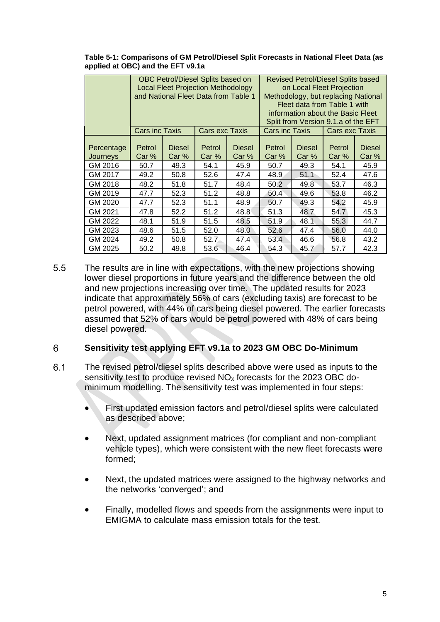### <span id="page-6-0"></span>**Table 5-1: Comparisons of GM Petrol/Diesel Split Forecasts in National Fleet Data (as applied at OBC) and the EFT v9.1a**

|                        | OBC Petrol/Diesel Splits based on<br><b>Local Fleet Projection Methodology</b><br>and National Fleet Data from Table 1 |                        |                 | <b>Revised Petrol/Diesel Splits based</b><br>on Local Fleet Projection<br>Methodology, but replacing National<br>Fleet data from Table 1 with<br>information about the Basic Fleet<br>Split from Version 9.1.a of the EFT |                 |                        |                 |                        |
|------------------------|------------------------------------------------------------------------------------------------------------------------|------------------------|-----------------|---------------------------------------------------------------------------------------------------------------------------------------------------------------------------------------------------------------------------|-----------------|------------------------|-----------------|------------------------|
|                        | <b>Cars inc Taxis</b><br>Cars exc Taxis                                                                                |                        |                 | Cars inc Taxis<br>Cars exc Taxis                                                                                                                                                                                          |                 |                        |                 |                        |
| Percentage<br>Journeys | Petrol<br>Car %                                                                                                        | <b>Diesel</b><br>Car % | Petrol<br>Car % | <b>Diesel</b><br>Car %                                                                                                                                                                                                    | Petrol<br>Car % | <b>Diesel</b><br>Car % | Petrol<br>Car % | <b>Diesel</b><br>Car % |
| GM 2016                | 50.7                                                                                                                   | 49.3                   | 54.1            | 45.9                                                                                                                                                                                                                      | 50.7            | 49.3                   | 54.1            | 45.9                   |
| GM 2017                | 49.2                                                                                                                   | 50.8                   | 52.6            | 47.4                                                                                                                                                                                                                      | 48.9            | 51.1                   | 52.4            | 47.6                   |
| GM 2018                | 48.2                                                                                                                   | 51.8                   | 51.7            | 48.4                                                                                                                                                                                                                      | 50.2            | 49.8                   | 53.7            | 46.3                   |
| GM 2019                | 47.7                                                                                                                   | 52.3                   | 51.2            | 48.8                                                                                                                                                                                                                      | 50.4            | 49.6                   | 53.8            | 46.2                   |
| GM 2020                | 47.7                                                                                                                   | 52.3                   | 51.1            | 48.9                                                                                                                                                                                                                      | 50.7            | 49.3                   | 54.2            | 45.9                   |
| GM 2021                | 47.8                                                                                                                   | 52.2                   | 51.2            | 48.8                                                                                                                                                                                                                      | 51.3            | 48.7                   | 54.7            | 45.3                   |
| GM 2022                | 48.1                                                                                                                   | 51.9                   | 51.5            | 48.5                                                                                                                                                                                                                      | 51.9            | 48.1                   | 55.3            | 44.7                   |
| GM 2023                | 48.6                                                                                                                   | 51.5                   | 52.0            | 48.0                                                                                                                                                                                                                      | 52.6            | 47.4                   | 56.0            | 44.0                   |
| GM 2024                | 49.2                                                                                                                   | 50.8                   | 52.7            | 47.4                                                                                                                                                                                                                      | 53.4            | 46.6                   | 56.8            | 43.2                   |
| GM 2025                | 50.2                                                                                                                   | 49.8                   | 53.6            | 46.4                                                                                                                                                                                                                      | 54.3            | 45.7                   | 57.7            | 42.3                   |

The results are in line with expectations, with the new projections showing  $5.5$ lower diesel proportions in future years and the difference between the old and new projections increasing over time. The updated results for 2023 indicate that approximately 56% of cars (excluding taxis) are forecast to be petrol powered, with 44% of cars being diesel powered. The earlier forecasts assumed that 52% of cars would be petrol powered with 48% of cars being diesel powered.

#### 6 **Sensitivity test applying EFT v9.1a to 2023 GM OBC Do-Minimum**

- $6.1$ The revised petrol/diesel splits described above were used as inputs to the sensitivity test to produce revised NO<sub>x</sub> forecasts for the 2023 OBC dominimum modelling. The sensitivity test was implemented in four steps:
	- First updated emission factors and petrol/diesel splits were calculated as described above;
	- Next, updated assignment matrices (for compliant and non-compliant vehicle types), which were consistent with the new fleet forecasts were formed;
	- Next, the updated matrices were assigned to the highway networks and the networks 'converged'; and
	- Finally, modelled flows and speeds from the assignments were input to EMIGMA to calculate mass emission totals for the test.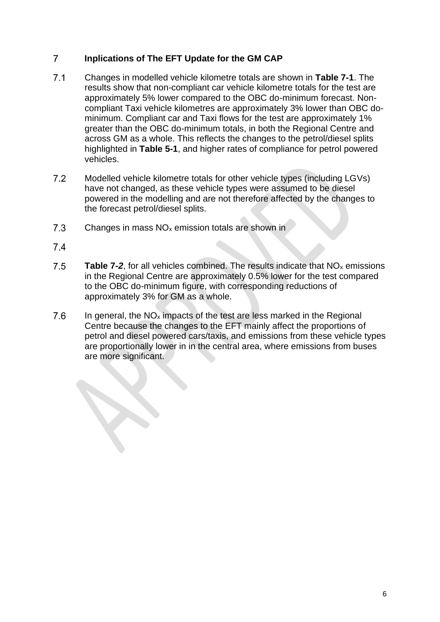#### $\overline{7}$ **Inplications of The EFT Update for the GM CAP**

- $7.1$ Changes in modelled vehicle kilometre totals are shown in **[Table 7-1](#page-8-0)**. The results show that non-compliant car vehicle kilometre totals for the test are approximately 5% lower compared to the OBC do-minimum forecast. Noncompliant Taxi vehicle kilometres are approximately 3% lower than OBC dominimum. Compliant car and Taxi flows for the test are approximately 1% greater than the OBC do-minimum totals, in both the Regional Centre and across GM as a whole. This reflects the changes to the petrol/diesel splits highlighted in **[Table 5-1](#page-6-0)**, and higher rates of compliance for petrol powered vehicles.
- $7.2$ Modelled vehicle kilometre totals for other vehicle types (including LGVs) have not changed, as these vehicle types were assumed to be diesel powered in the modelling and are not therefore affected by the changes to the forecast petrol/diesel splits.
- $7.3$ Changesin mass  $NO<sub>x</sub>$  emission totals are shown in
- $7.4$
- $7.5$ **[Table](#page-8-1) 7-2**, for all vehicles combined. The results indicate that  $NO<sub>x</sub>$  emissions in the Regional Centre are approximately 0.5% lower for the test compared to the OBC do-minimum figure, with corresponding reductions of approximately 3% for GM as a whole.
- 7.6 In general, the  $NO<sub>x</sub>$  impacts of the test are less marked in the Regional Centre because the changes to the EFT mainly affect the proportions of petrol and diesel powered cars/taxis, and emissions from these vehicle types are proportionally lower in in the central area, where emissions from buses are more significant.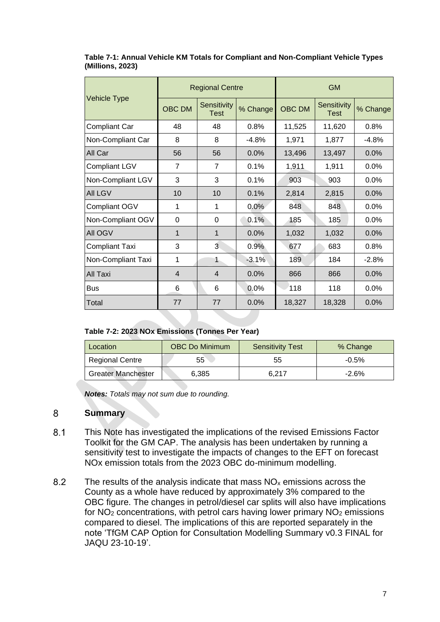<span id="page-8-1"></span>

|                       |                | <b>Regional Centre</b> |          | <b>GM</b>     |                            |          |  |
|-----------------------|----------------|------------------------|----------|---------------|----------------------------|----------|--|
| <b>Vehicle Type</b>   | <b>OBC DM</b>  | Sensitivity<br>Test    | % Change | <b>OBC DM</b> | <b>Sensitivity</b><br>Test | % Change |  |
| <b>Compliant Car</b>  | 48             | 48                     | 0.8%     | 11,525        | 11,620                     | 0.8%     |  |
| Non-Compliant Car     | 8              | 8                      | $-4.8%$  | 1,971         | 1,877                      | $-4.8%$  |  |
| All Car               | 56             | 56                     | $0.0\%$  | 13,496        | 13,497                     | 0.0%     |  |
| Compliant LGV         | $\overline{7}$ | $\overline{7}$         | 0.1%     | 1,911         | 1,911                      | 0.0%     |  |
| Non-Compliant LGV     | 3              | 3                      | 0.1%     | 903           | 903                        | $0.0\%$  |  |
| <b>AII LGV</b>        | 10             | 10                     | 0.1%     | 2,814         | 2,815                      | 0.0%     |  |
| Compliant OGV         | 1              | 1                      | 0.0%     | 848           | 848                        | 0.0%     |  |
| Non-Compliant OGV     | 0              | 0                      | 0.1%     | 185           | 185                        | 0.0%     |  |
| All OGV               | 1              | 1                      | 0.0%     | 1,032         | 1,032                      | 0.0%     |  |
| <b>Compliant Taxi</b> | 3              | 3                      | 0.9%     | 677           | 683                        | 0.8%     |  |
| Non-Compliant Taxi    | 1              | 1                      | $-3.1%$  | 189           | 184                        | $-2.8%$  |  |
| All Taxi              | 4              | 4                      | 0.0%     | 866           | 866                        | 0.0%     |  |
| <b>Bus</b>            | 6              | 6                      | 0.0%     | 118           | 118                        | 0.0%     |  |
| Total                 | 77             | 77                     | 0.0%     | 18,327        | 18,328                     | 0.0%     |  |

## <span id="page-8-0"></span>**Table 7-1: Annual Vehicle KM Totals for Compliant and Non-Compliant Vehicle Types (Millions, 2023)**

| Table 7-2: 2023 NOx Emissions (Tonnes Per Year) |  |  |  |
|-------------------------------------------------|--|--|--|
|                                                 |  |  |  |

| Location                  | <b>OBC Do Minimum</b> | <b>Sensitivity Test</b> | % Change |  |
|---------------------------|-----------------------|-------------------------|----------|--|
| <b>Regional Centre</b>    | 55                    | 55                      | $-0.5\%$ |  |
| <b>Greater Manchester</b> | 6,385                 | 6.217                   | $-2.6\%$ |  |

*Notes: Totals may not sum due to rounding.*

#### 8 **Summary**

- $8.1$ This Note has investigated the implications of the revised Emissions Factor Toolkit for the GM CAP. The analysis has been undertaken by running a sensitivity test to investigate the impacts of changes to the EFT on forecast NOx emission totals from the 2023 OBC do-minimum modelling.
- 8.2 The results of the analysis indicate that mass  $NO<sub>x</sub>$  emissions across the County as a whole have reduced by approximately 3% compared to the OBC figure. The changes in petrol/diesel car splits will also have implications for NO<sup>2</sup> concentrations, with petrol cars having lower primary NO<sup>2</sup> emissions compared to diesel. The implications of this are reported separately in the note 'TfGM CAP Option for Consultation Modelling Summary v0.3 FINAL for JAQU 23-10-19'.